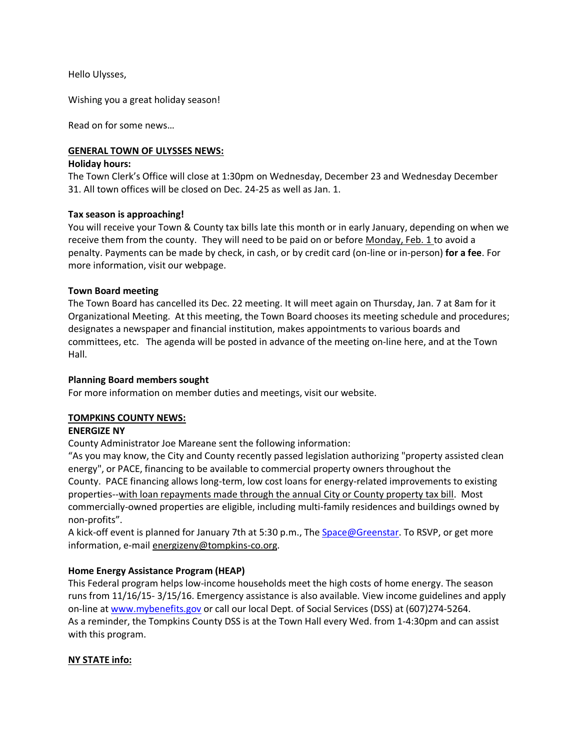Hello Ulysses,

Wishing you a great holiday season!

Read on for some news…

## **GENERAL TOWN OF ULYSSES NEWS:**

#### **Holiday hours:**

The Town Clerk's Office will close at 1:30pm on Wednesday, December 23 and Wednesday December 31. All town offices will be closed on Dec. 24-25 as well as Jan. 1.

## **Tax season is approaching!**

You will receive your Town & County tax bills late this month or in early January, depending on when we receive them from the county. They will need to be paid on or before Monday, Feb. 1 to avoid a penalty. Payments can be made by check, in cash, or by credit card (on-line or in-person) **for a fee**. For more information, visit our webpage.

## **Town Board meeting**

The Town Board has cancelled its Dec. 22 meeting. It will meet again on Thursday, Jan. 7 at 8am for it Organizational Meeting. At this meeting, the Town Board chooses its meeting schedule and procedures; designates a newspaper and financial institution, makes appointments to various boards and committees, etc. The agenda will be posted in advance of the meeting on-line here, and at the Town Hall.

## **Planning Board members sought**

For more information on member duties and meetings, visit our website.

# **TOMPKINS COUNTY NEWS:**

#### **ENERGIZE NY**

County Administrator Joe Mareane sent the following information:

"As you may know, the City and County recently passed legislation authorizing "property assisted clean energy", or PACE, financing to be available to commercial property owners throughout the County. PACE financing allows long-term, low cost loans for energy-related improvements to existing properties--with loan repayments made through the annual City or County property tax bill. Most commercially-owned properties are eligible, including multi-family residences and buildings owned by non-profits".

A kick-off event is planned for January 7th at 5:30 p.m., The [Space@Greenstar.](mailto:Space@Greenstar) To RSVP, or get more information, e-mail energizeny@tompkins-co.org.

# **Home Energy Assistance Program (HEAP)**

This Federal program helps low-income households meet the high costs of home energy. The season runs from 11/16/15- 3/15/16. Emergency assistance is also available. View income guidelines and apply on-line at [www.mybenefits.gov](http://www.mybenefits.gov/) or call our local Dept. of Social Services (DSS) at (607)274-5264. As a reminder, the Tompkins County DSS is at the Town Hall every Wed. from 1-4:30pm and can assist with this program.

# **NY STATE info:**